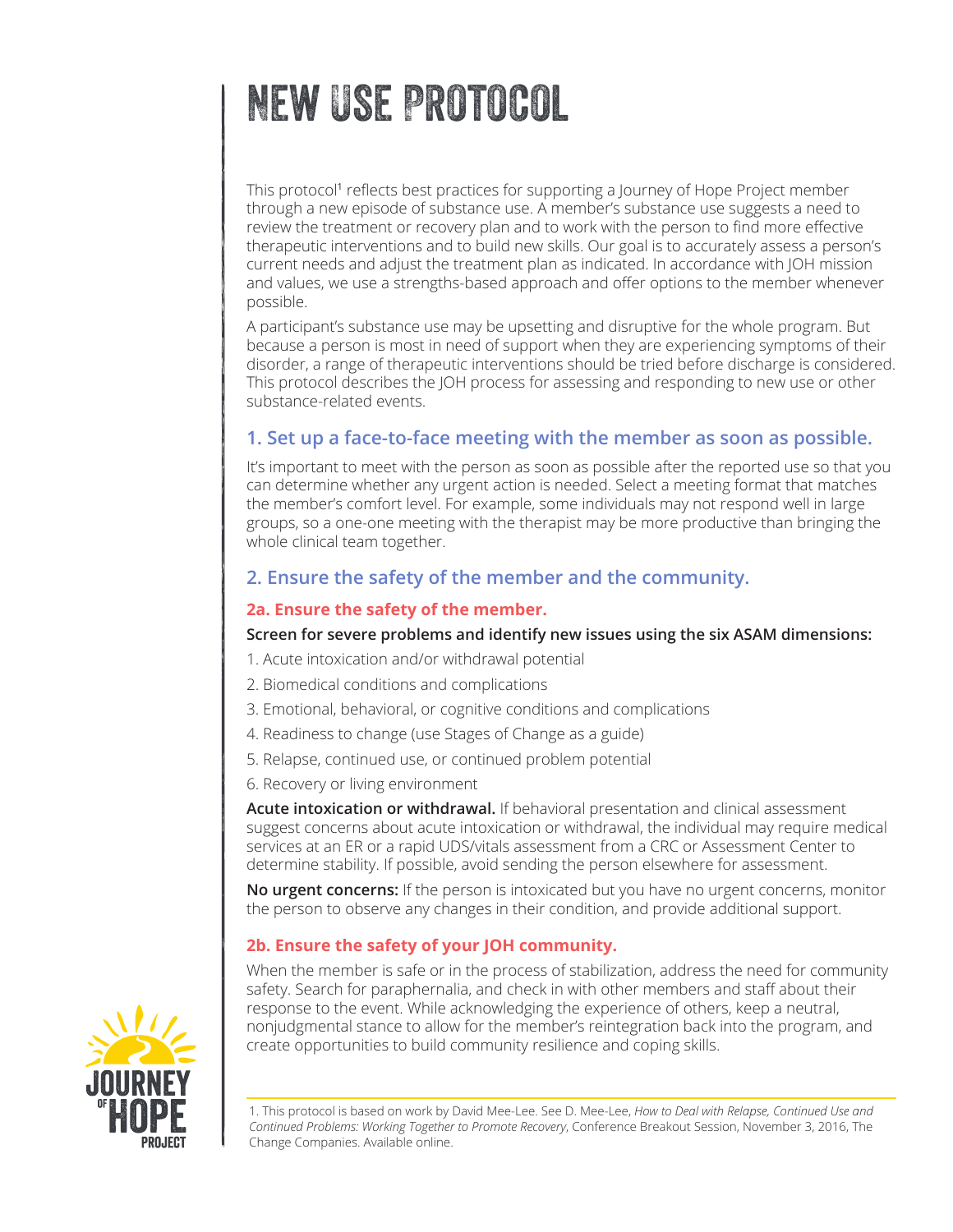# New Use Protocol

This protocol<sup>1</sup> reflects best practices for supporting a Journey of Hope Project member through a new episode of substance use. A member's substance use suggests a need to review the treatment or recovery plan and to work with the person to find more effective therapeutic interventions and to build new skills. Our goal is to accurately assess a person's current needs and adjust the treatment plan as indicated. In accordance with JOH mission and values, we use a strengths-based approach and offer options to the member whenever possible.

A participant's substance use may be upsetting and disruptive for the whole program. But because a person is most in need of support when they are experiencing symptoms of their disorder, a range of therapeutic interventions should be tried before discharge is considered. This protocol describes the JOH process for assessing and responding to new use or other substance-related events.

# **1. Set up a face-to-face meeting with the member as soon as possible.**

It's important to meet with the person as soon as possible after the reported use so that you can determine whether any urgent action is needed. Select a meeting format that matches the member's comfort level. For example, some individuals may not respond well in large groups, so a one-one meeting with the therapist may be more productive than bringing the whole clinical team together.

# **2. Ensure the safety of the member and the community.**

#### **2a. Ensure the safety of the member.**

#### **Screen for severe problems and identify new issues using the six ASAM dimensions:**

1. Acute intoxication and/or withdrawal potential

- 2. Biomedical conditions and complications
- 3. Emotional, behavioral, or cognitive conditions and complications
- 4. Readiness to change (use Stages of Change as a guide)
- 5. Relapse, continued use, or continued problem potential
- 6. Recovery or living environment

**Acute intoxication or withdrawal.** If behavioral presentation and clinical assessment suggest concerns about acute intoxication or withdrawal, the individual may require medical services at an ER or a rapid UDS/vitals assessment from a CRC or Assessment Center to determine stability. If possible, avoid sending the person elsewhere for assessment.

**No urgent concerns:** If the person is intoxicated but you have no urgent concerns, monitor the person to observe any changes in their condition, and provide additional support.

#### **2b. Ensure the safety of your JOH community.**

When the member is safe or in the process of stabilization, address the need for community safety. Search for paraphernalia, and check in with other members and staff about their response to the event. While acknowledging the experience of others, keep a neutral, nonjudgmental stance to allow for the member's reintegration back into the program, and create opportunities to build community resilience and coping skills.



<sup>1.</sup> This protocol is based on work by David Mee-Lee. See D. Mee-Lee, *How to Deal with Relapse, Continued Use and Continued Problems: Working Together to Promote Recovery*, Conference Breakout Session, November 3, 2016, The Change Companies. Available online.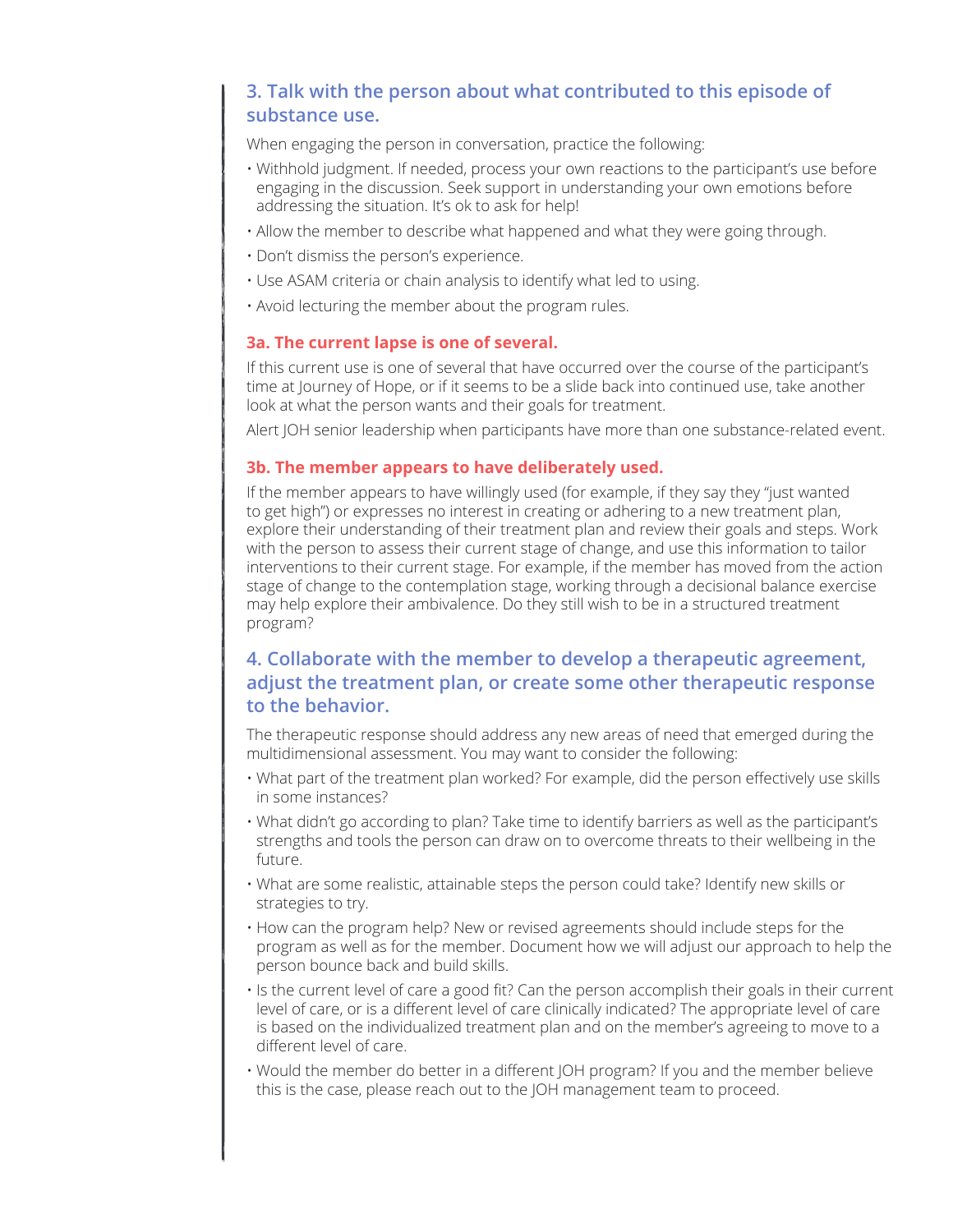# **3. Talk with the person about what contributed to this episode of substance use.**

When engaging the person in conversation, practice the following:

- Withhold judgment. If needed, process your own reactions to the participant's use before engaging in the discussion. Seek support in understanding your own emotions before addressing the situation. It's ok to ask for help!
- Allow the member to describe what happened and what they were going through.
- Don't dismiss the person's experience.
- Use ASAM criteria or chain analysis to identify what led to using.
- Avoid lecturing the member about the program rules.

#### **3a. The current lapse is one of several.**

If this current use is one of several that have occurred over the course of the participant's time at Journey of Hope, or if it seems to be a slide back into continued use, take another look at what the person wants and their goals for treatment.

Alert JOH senior leadership when participants have more than one substance-related event.

#### **3b. The member appears to have deliberately used.**

If the member appears to have willingly used (for example, if they say they "just wanted to get high") or expresses no interest in creating or adhering to a new treatment plan, explore their understanding of their treatment plan and review their goals and steps. Work with the person to assess their current stage of change, and use this information to tailor interventions to their current stage. For example, if the member has moved from the action stage of change to the contemplation stage, working through a decisional balance exercise may help explore their ambivalence. Do they still wish to be in a structured treatment program?

# **4. Collaborate with the member to develop a therapeutic agreement, adjust the treatment plan, or create some other therapeutic response to the behavior.**

The therapeutic response should address any new areas of need that emerged during the multidimensional assessment. You may want to consider the following:

- What part of the treatment plan worked? For example, did the person effectively use skills in some instances?
- What didn't go according to plan? Take time to identify barriers as well as the participant's strengths and tools the person can draw on to overcome threats to their wellbeing in the future.
- What are some realistic, attainable steps the person could take? Identify new skills or strategies to try.
- How can the program help? New or revised agreements should include steps for the program as well as for the member. Document how we will adjust our approach to help the person bounce back and build skills.
- Is the current level of care a good fit? Can the person accomplish their goals in their current level of care, or is a different level of care clinically indicated? The appropriate level of care is based on the individualized treatment plan and on the member's agreeing to move to a different level of care.
- Would the member do better in a different JOH program? If you and the member believe this is the case, please reach out to the JOH management team to proceed.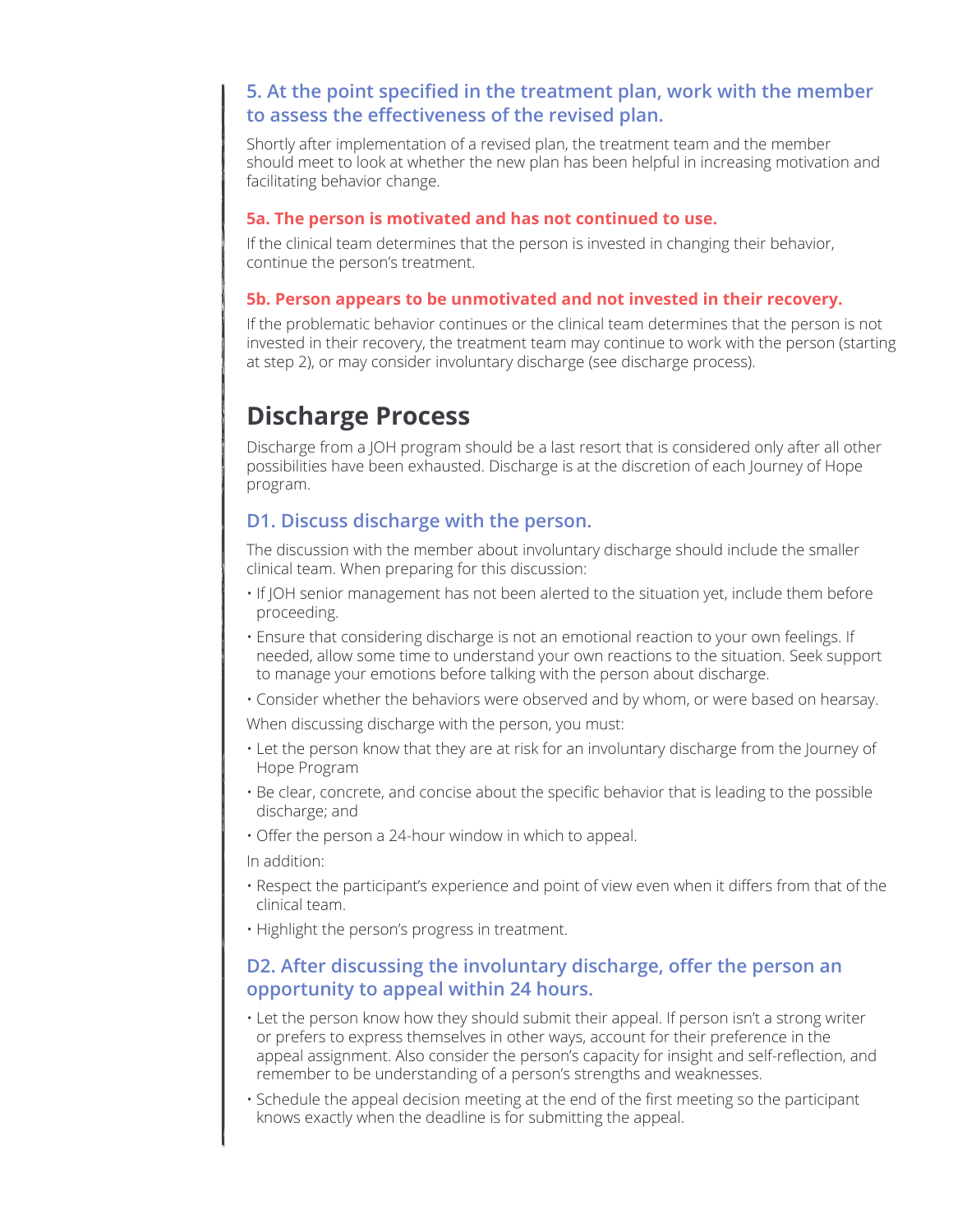# **5. At the point specified in the treatment plan, work with the member to assess the effectiveness of the revised plan.**

Shortly after implementation of a revised plan, the treatment team and the member should meet to look at whether the new plan has been helpful in increasing motivation and facilitating behavior change.

#### **5a. The person is motivated and has not continued to use.**

If the clinical team determines that the person is invested in changing their behavior, continue the person's treatment.

#### **5b. Person appears to be unmotivated and not invested in their recovery.**

If the problematic behavior continues or the clinical team determines that the person is not invested in their recovery, the treatment team may continue to work with the person (starting at step 2), or may consider involuntary discharge (see discharge process).

# **Discharge Process**

Discharge from a JOH program should be a last resort that is considered only after all other possibilities have been exhausted. Discharge is at the discretion of each Journey of Hope program.

## **D1. Discuss discharge with the person.**

The discussion with the member about involuntary discharge should include the smaller clinical team. When preparing for this discussion:

- If JOH senior management has not been alerted to the situation yet, include them before proceeding.
- Ensure that considering discharge is not an emotional reaction to your own feelings. If needed, allow some time to understand your own reactions to the situation. Seek support to manage your emotions before talking with the person about discharge.
- Consider whether the behaviors were observed and by whom, or were based on hearsay.

When discussing discharge with the person, you must:

- Let the person know that they are at risk for an involuntary discharge from the Journey of Hope Program
- Be clear, concrete, and concise about the specific behavior that is leading to the possible discharge; and
- Offer the person a 24-hour window in which to appeal.

In addition:

- Respect the participant's experience and point of view even when it differs from that of the clinical team.
- Highlight the person's progress in treatment.

## **D2. After discussing the involuntary discharge, offer the person an opportunity to appeal within 24 hours.**

- Let the person know how they should submit their appeal. If person isn't a strong writer or prefers to express themselves in other ways, account for their preference in the appeal assignment. Also consider the person's capacity for insight and self-reflection, and remember to be understanding of a person's strengths and weaknesses.
- Schedule the appeal decision meeting at the end of the first meeting so the participant knows exactly when the deadline is for submitting the appeal.